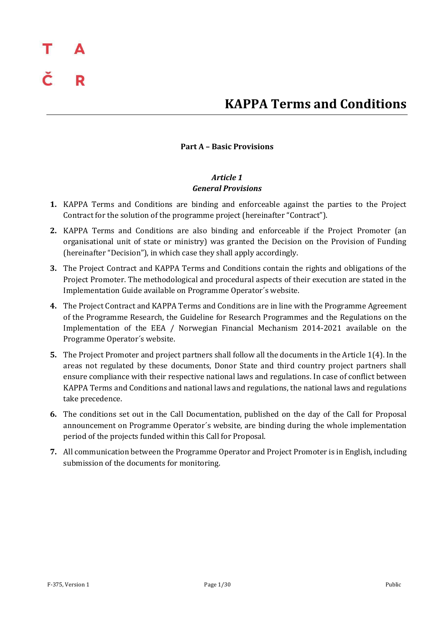### **KAPPA Terms and Conditions**

### **Part A – Basic Provisions**

### *Article 1 General Provisions*

- **1.** KAPPA Terms and Conditions are binding and enforceable against the parties to the Project Contract for the solution of the programme project (hereinafter "Contract").
- **2.** KAPPA Terms and Conditions are also binding and enforceable if the Project Promoter (an organisational unit of state or ministry) was granted the Decision on the Provision of Funding (hereinafter "Decision"), in which case they shall apply accordingly.
- **3.** The Project Contract and KAPPA Terms and Conditions contain the rights and obligations of the Project Promoter. The methodological and procedural aspects of their execution are stated in the Implementation Guide available on Programme Operator´s website.
- **4.** The Project Contract and KAPPA Terms and Conditions are in line with the Programme Agreement of the Programme Research, the Guideline for Research Programmes and the Regulations on the Implementation of the EEA / Norwegian Financial Mechanism 2014-2021 available on the Programme Operator´s website.
- **5.** The Project Promoter and project partners shall follow all the documents in the Article 1(4). In the areas not regulated by these documents, Donor State and third country project partners shall ensure compliance with their respective national laws and regulations. In case of conflict between KAPPA Terms and Conditions and national laws and regulations, the national laws and regulations take precedence.
- **6.** The conditions set out in the Call Documentation, published on the day of the Call for Proposal announcement on Programme Operator´s website, are binding during the whole implementation period of the projects funded within this Call for Proposal.
- **7.** All communication between the Programme Operator and Project Promoter is in English, including submission of the documents for monitoring.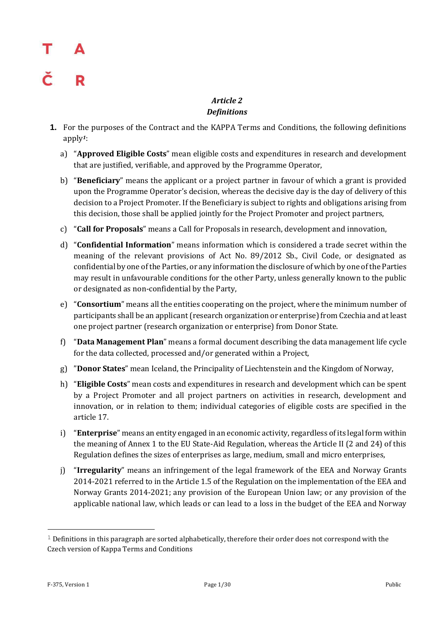# R

### *Article 2 Definitions*

- **1.** For the purposes of the Contract and the KAPPA Terms and Conditions, the following definitions apply*1*:
	- a) "**Approved Eligible Costs**" mean eligible costs and expenditures in research and development that are justified, verifiable, and approved by the Programme Operator,
	- b) "**Beneficiary**" means the applicant or a project partner in favour of which a grant is provided upon the Programme Operator's decision, whereas the decisive day is the day of delivery of this decision to a Project Promoter. If the Beneficiary is subject to rights and obligations arising from this decision, those shall be applied jointly for the Project Promoter and project partners,
	- c) "**Call for Proposals**" means a Call for Proposals in research, development and innovation,
	- d) "**Confidential Information**" means information which is considered a trade secret within the meaning of the relevant provisions of Act No. 89/2012 Sb., Civil Code, or designated as confidential by one of the Parties, or any information the disclosure of which by one of the Parties may result in unfavourable conditions for the other Party, unless generally known to the public or designated as non-confidential by the Party,
	- e) "**Consortium**" means all the entities cooperating on the project, where the minimum number of participants shall be an applicant (research organization or enterprise) from Czechia and at least one project partner (research organization or enterprise) from Donor State.
	- f) "**Data Management Plan**" means a formal document describing the data management life cycle for the data collected, processed and/or generated within a Project,
	- g) "**Donor States**" mean Iceland, the Principality of Liechtenstein and the Kingdom of Norway,
	- h) "**Eligible Costs**" mean costs and expenditures in research and development which can be spent by a Project Promoter and all project partners on activities in research, development and innovation, or in relation to them; individual categories of eligible costs are specified in the article 17.
	- i) "**Enterprise**" means an entity engaged in an economic activity, regardless of its legal form within the meaning of Annex 1 to the EU State-Aid Regulation, whereas the Article II (2 and 24) of this Regulation defines the sizes of enterprises as large, medium, small and micro enterprises,
	- j) "**Irregularity**" means an infringement of the legal framework of the EEA and Norway Grants 2014-2021 referred to in the Article 1.5 of the Regulation on the implementation of the EEA and Norway Grants 2014-2021; any provision of the European Union law; or any provision of the applicable national law, which leads or can lead to a loss in the budget of the EEA and Norway

—<br>—

 $1$  Definitions in this paragraph are sorted alphabetically, therefore their order does not correspond with the Czech version of Kappa Terms and Conditions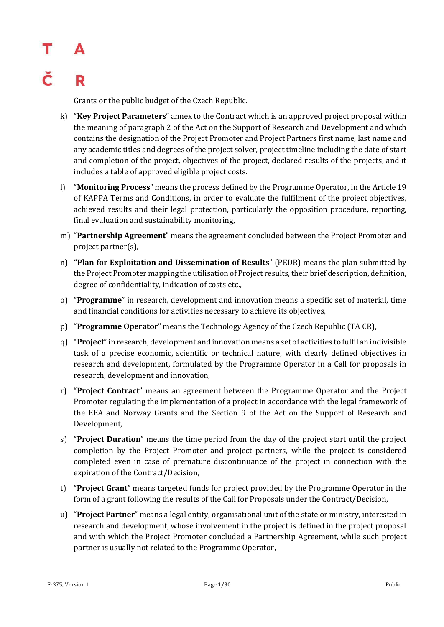## Т Δ R

Grants or the public budget of the Czech Republic.

- k) "**Key Project Parameters**" annex to the Contract which is an approved project proposal within the meaning of paragraph 2 of the Act on the Support of Research and Development and which contains the designation of the Project Promoter and Project Partners first name, last name and any academic titles and degrees of the project solver, project timeline including the date of start and completion of the project, objectives of the project, declared results of the projects, and it includes a table of approved eligible project costs.
- l) "**Monitoring Process**" means the process defined by the Programme Operator, in the Article 19 of KAPPA Terms and Conditions, in order to evaluate the fulfilment of the project objectives, achieved results and their legal protection, particularly the opposition procedure, reporting, final evaluation and sustainability monitoring,
- m) "**Partnership Agreement**" means the agreement concluded between the Project Promoter and project partner(s),
- n) **"Plan for Exploitation and Dissemination of Results**" (PEDR) means the plan submitted by the Project Promoter mapping the utilisation of Project results, their brief description, definition, degree of confidentiality, indication of costs etc.,
- o) "**Programme**" in research, development and innovation means a specific set of material, time and financial conditions for activities necessary to achieve its objectives,
- p) "**Programme Operator**" means the Technology Agency of the Czech Republic (TA CR),
- q) "**Project**" in research, development and innovation means a set of activities to fulfil an indivisible task of a precise economic, scientific or technical nature, with clearly defined objectives in research and development, formulated by the Programme Operator in a Call for proposals in research, development and innovation,
- r) "**Project Contract**" means an agreement between the Programme Operator and the Project Promoter regulating the implementation of a project in accordance with the legal framework of the EEA and Norway Grants and the Section 9 of the Act on the Support of Research and Development,
- s) "**Project Duration**" means the time period from the day of the project start until the project completion by the Project Promoter and project partners, while the project is considered completed even in case of premature discontinuance of the project in connection with the expiration of the Contract/Decision,
- t) "**Project Grant**" means targeted funds for project provided by the Programme Operator in the form of a grant following the results of the Call for Proposals under the Contract/Decision,
- u) "**Project Partner**" means a legal entity, organisational unit of the state or ministry, interested in research and development, whose involvement in the project is defined in the project proposal and with which the Project Promoter concluded a Partnership Agreement, while such project partner is usually not related to the Programme Operator,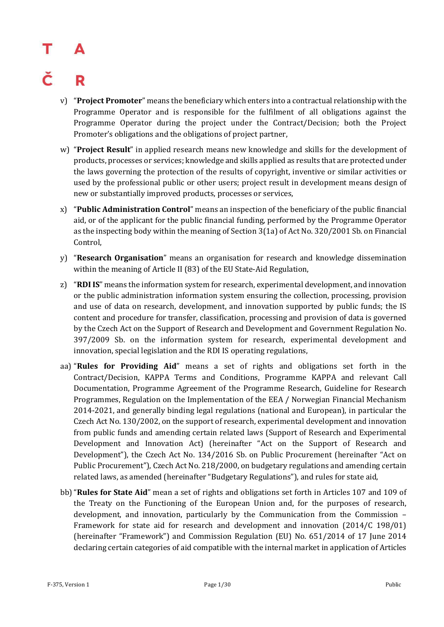## R

- v) "**Project Promoter**" means the beneficiary which enters into a contractual relationship with the Programme Operator and is responsible for the fulfilment of all obligations against the Programme Operator during the project under the Contract/Decision; both the Project Promoter's obligations and the obligations of project partner,
- w) "**Project Result**" in applied research means new knowledge and skills for the development of products, processes or services; knowledge and skills applied as results that are protected under the laws governing the protection of the results of copyright, inventive or similar activities or used by the professional public or other users; project result in development means design of new or substantially improved products, processes or services,
- x) "**Public Administration Control**" means an inspection of the beneficiary of the public financial aid, or of the applicant for the public financial funding, performed by the Programme Operator as the inspecting body within the meaning of Section 3(1a) of Act No. 320/2001 Sb. on Financial Control,
- y) "**Research Organisation**" means an organisation for research and knowledge dissemination within the meaning of Article II (83) of the EU State-Aid Regulation,
- z) "**RDI IS**" means the information system for research, experimental development, and innovation or the public administration information system ensuring the collection, processing, provision and use of data on research, development, and innovation supported by public funds; the IS content and procedure for transfer, classification, processing and provision of data is governed by the Czech Act on the Support of Research and Development and Government Regulation No. 397/2009 Sb. on the information system for research, experimental development and innovation, special legislation and the RDI IS operating regulations,
- aa) "**Rules for Providing Aid**" means a set of rights and obligations set forth in the Contract/Decision, KAPPA Terms and Conditions, Programme KAPPA and relevant Call Documentation, Programme Agreement of the Programme Research, Guideline for Research Programmes, Regulation on the Implementation of the EEA / Norwegian Financial Mechanism 2014-2021, and generally binding legal regulations (national and European), in particular the Czech Act No. 130/2002, on the support of research, experimental development and innovation from public funds and amending certain related laws (Support of Research and Experimental Development and Innovation Act) (hereinafter "Act on the Support of Research and Development"), the Czech Act No. 134/2016 Sb. on Public Procurement (hereinafter "Act on Public Procurement"), Czech Act No. 218/2000, on budgetary regulations and amending certain related laws, as amended (hereinafter "Budgetary Regulations"), and rules for state aid,
- bb)"**Rules for State Aid**" mean a set of rights and obligations set forth in Articles 107 and 109 of the Treaty on the Functioning of the European Union and, for the purposes of research, development, and innovation, particularly by the Communication from the Commission – Framework for state aid for research and development and innovation (2014/C 198/01) (hereinafter "Framework") and Commission Regulation (EU) No. 651/2014 of 17 June 2014 declaring certain categories of aid compatible with the internal market in application of Articles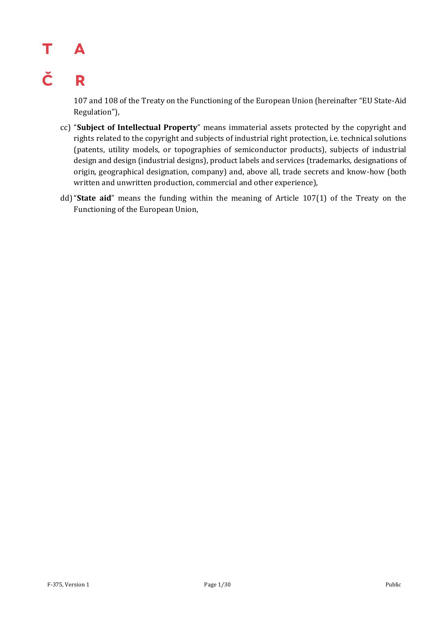### Τ A

### Č R

107 and 108 of the Treaty on the Functioning of the European Union (hereinafter "EU State-Aid Regulation"),

- cc) "**Subject of Intellectual Property**" means immaterial assets protected by the copyright and rights related to the copyright and subjects of industrial right protection, i.e. technical solutions (patents, utility models, or topographies of semiconductor products), subjects of industrial design and design (industrial designs), product labels and services (trademarks, designations of origin, geographical designation, company) and, above all, trade secrets and know-how (both written and unwritten production, commercial and other experience),
- dd)"**State aid**" means the funding within the meaning of Article 107(1) of the Treaty on the Functioning of the European Union,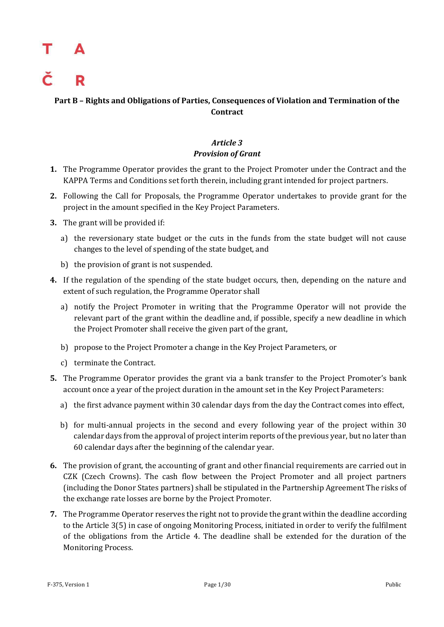### **Part B – Rights and Obligations of Parties, Consequences of Violation and Termination of the Contract**

### *Article 3 Provision of Grant*

- **1.** The Programme Operator provides the grant to the Project Promoter under the Contract and the KAPPA Terms and Conditions set forth therein, including grant intended for project partners.
- **2.** Following the Call for Proposals, the Programme Operator undertakes to provide grant for the project in the amount specified in the Key Project Parameters.
- **3.** The grant will be provided if:
	- a) the reversionary state budget or the cuts in the funds from the state budget will not cause changes to the level of spending of the state budget, and
	- b) the provision of grant is not suspended.
- **4.** If the regulation of the spending of the state budget occurs, then, depending on the nature and extent of such regulation, the Programme Operator shall
	- a) notify the Project Promoter in writing that the Programme Operator will not provide the relevant part of the grant within the deadline and, if possible, specify a new deadline in which the Project Promoter shall receive the given part of the grant,
	- b) propose to the Project Promoter a change in the Key Project Parameters, or
	- c) terminate the Contract.
- **5.** The Programme Operator provides the grant via a bank transfer to the Project Promoter's bank account once a year of the project duration in the amount set in the Key Project Parameters:
	- a) the first advance payment within 30 calendar days from the day the Contract comes into effect,
	- b) for multi-annual projects in the second and every following year of the project within 30 calendar days from the approval of project interim reports of the previous year, but no later than 60 calendar days after the beginning of the calendar year.
- **6.** The provision of grant, the accounting of grant and other financial requirements are carried out in CZK (Czech Crowns). The cash flow between the Project Promoter and all project partners (including the Donor States partners) shall be stipulated in the Partnership Agreement The risks of the exchange rate losses are borne by the Project Promoter.
- **7.** The Programme Operator reserves the right not to provide the grant within the deadline according to the Article 3(5) in case of ongoing Monitoring Process, initiated in order to verify the fulfilment of the obligations from the Article 4. The deadline shall be extended for the duration of the Monitoring Process.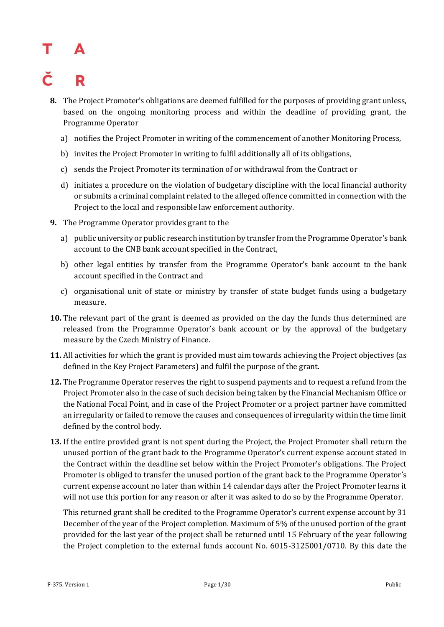## R

- **8.** The Project Promoter's obligations are deemed fulfilled for the purposes of providing grant unless, based on the ongoing monitoring process and within the deadline of providing grant, the Programme Operator
	- a) notifies the Project Promoter in writing of the commencement of another Monitoring Process,
	- b) invites the Project Promoter in writing to fulfil additionally all of its obligations,
	- c) sends the Project Promoter its termination of or withdrawal from the Contract or
	- d) initiates a procedure on the violation of budgetary discipline with the local financial authority or submits a criminal complaint related to the alleged offence committed in connection with the Project to the local and responsible law enforcement authority.
- **9.** The Programme Operator provides grant to the
	- a) public university or public research institution by transfer from the Programme Operator's bank account to the CNB bank account specified in the Contract,
	- b) other legal entities by transfer from the Programme Operator's bank account to the bank account specified in the Contract and
	- c) organisational unit of state or ministry by transfer of state budget funds using a budgetary measure.
- **10.** The relevant part of the grant is deemed as provided on the day the funds thus determined are released from the Programme Operator's bank account or by the approval of the budgetary measure by the Czech Ministry of Finance.
- **11.** All activities for which the grant is provided must aim towards achieving the Project objectives (as defined in the Key Project Parameters) and fulfil the purpose of the grant.
- **12.** The Programme Operator reserves the right to suspend payments and to request a refund from the Project Promoter also in the case of such decision being taken by the Financial Mechanism Office or the National Focal Point, and in case of the Project Promoter or a project partner have committed an irregularity or failed to remove the causes and consequences of irregularity within the time limit defined by the control body.
- **13.** If the entire provided grant is not spent during the Project, the Project Promoter shall return the unused portion of the grant back to the Programme Operator's current expense account stated in the Contract within the deadline set below within the Project Promoter's obligations. The Project Promoter is obliged to transfer the unused portion of the grant back to the Programme Operator's current expense account no later than within 14 calendar days after the Project Promoter learns it will not use this portion for any reason or after it was asked to do so by the Programme Operator.

This returned grant shall be credited to the Programme Operator's current expense account by 31 December of the year of the Project completion. Maximum of 5% of the unused portion of the grant provided for the last year of the project shall be returned until 15 February of the year following the Project completion to the external funds account No. 6015-3125001/0710. By this date the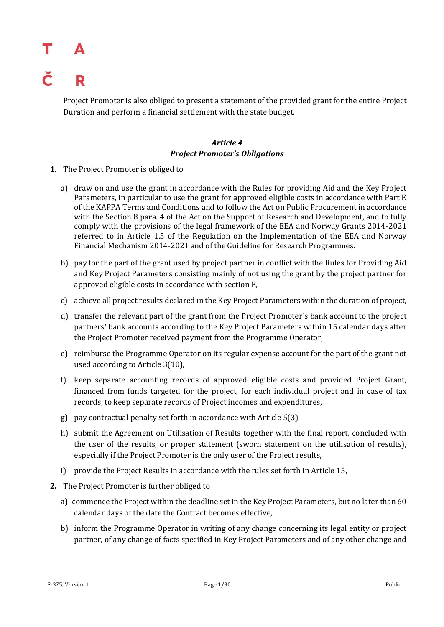## Т č

Project Promoter is also obliged to present a statement of the provided grant for the entire Project Duration and perform a financial settlement with the state budget.

### *Article 4 Project Promoter's Obligations*

- **1.** The Project Promoter is obliged to
	- a) draw on and use the grant in accordance with the Rules for providing Aid and the Key Project Parameters, in particular to use the grant for approved eligible costs in accordance with Part E of the KAPPA Terms and Conditions and to follow the Act on Public Procurement in accordance with the Section 8 para. 4 of the Act on the Support of Research and Development, and to fully comply with the provisions of the legal framework of the EEA and Norway Grants 2014-2021 referred to in Article 1.5 of the Regulation on the Implementation of the EEA and Norway Financial Mechanism 2014-2021 and of the Guideline for Research Programmes.
	- b) pay for the part of the grant used by project partner in conflict with the Rules for Providing Aid and Key Project Parameters consisting mainly of not using the grant by the project partner for approved eligible costs in accordance with section E,
	- c) achieve all project results declared in the Key Project Parameters within the duration of project,
	- d) transfer the relevant part of the grant from the Project Promoter´s bank account to the project partners' bank accounts according to the Key Project Parameters within 15 calendar days after the Project Promoter received payment from the Programme Operator,
	- e) reimburse the Programme Operator on its regular expense account for the part of the grant not used according to Article 3(10),
	- f) keep separate accounting records of approved eligible costs and provided Project Grant, financed from funds targeted for the project, for each individual project and in case of tax records, to keep separate records of Project incomes and expenditures,
	- g) pay contractual penalty set forth in accordance with Article 5(3),
	- h) submit the Agreement on Utilisation of Results together with the final report, concluded with the user of the results, or proper statement (sworn statement on the utilisation of results), especially if the Project Promoter is the only user of the Project results,
	- i) provide the Project Results in accordance with the rules set forth in Article 15,
- **2.** The Project Promoter is further obliged to
	- a) commence the Project within the deadline set in the Key Project Parameters, but no later than 60 calendar days of the date the Contract becomes effective,
	- b) inform the Programme Operator in writing of any change concerning its legal entity or project partner, of any change of facts specified in Key Project Parameters and of any other change and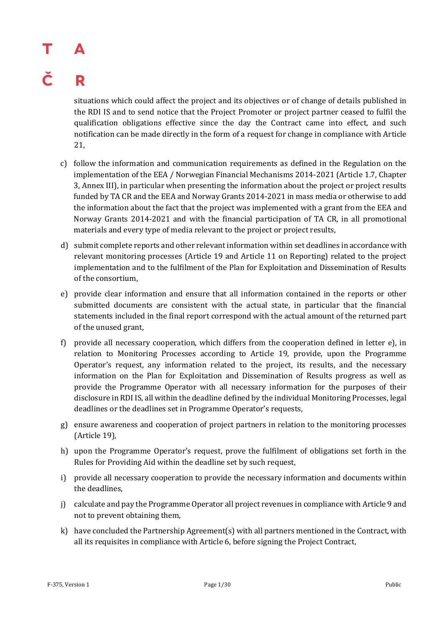## Т R

situations which could affect the project and its objectives or of change of details published in the RDI IS and to send notice that the Project Promoter or project partner ceased to fulfil the qualification obligations effective since the day the Contract came into effect, and such notification can be made directly in the form of a request for change in compliance with Article 21,

- c) follow the information and communication requirements as defined in the Regulation on the implementation of the EEA / Norwegian Financial Mechanisms 2014-2021 (Article 1.7, Chapter 3, Annex III), in particular when presenting the information about the project or project results funded by TA CR and the EEA and Norway Grants 2014-2021 in mass media or otherwise to add the information about the fact that the project was implemented with a grant from the EEA and Norway Grants 2014-2021 and with the financial participation of TA CR, in all promotional materials and every type of media relevant to the project or project results,
- d) submit complete reports and other relevant information within set deadlines in accordance with relevant monitoring processes (Article 19 and Article 11 on Reporting) related to the project implementation and to the fulfilment of the Plan for Exploitation and Dissemination of Results of the consortium,
- e) provide clear information and ensure that all information contained in the reports or other submitted documents are consistent with the actual state, in particular that the financial statements included in the final report correspond with the actual amount of the returned part of the unused grant,
- f) provide all necessary cooperation, which differs from the cooperation defined in letter e), in relation to Monitoring Processes according to Article 19, provide, upon the Programme Operator's request, any information related to the project, its results, and the necessary information on the Plan for Exploitation and Dissemination of Results progress as well as provide the Programme Operator with all necessary information for the purposes of their disclosure in RDI IS, all within the deadline defined by the individual Monitoring Processes, legal deadlines or the deadlines set in Programme Operator's requests,
- g) ensure awareness and cooperation of project partners in relation to the monitoring processes (Article 19),
- h) upon the Programme Operator's request, prove the fulfilment of obligations set forth in the Rules for Providing Aid within the deadline set by such request,
- i) provide all necessary cooperation to provide the necessary information and documents within the deadlines,
- j) calculate and pay the Programme Operator all project revenues in compliance with Article 9 and not to prevent obtaining them,
- k) have concluded the Partnership Agreement(s) with all partners mentioned in the Contract, with all its requisites in compliance with Article 6, before signing the Project Contract,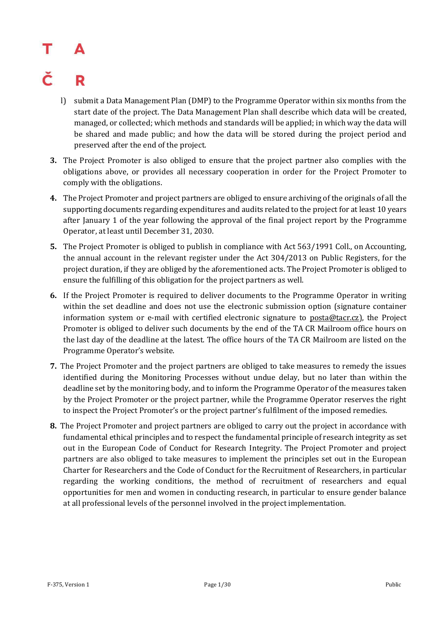## R

- l) submit a Data Management Plan (DMP) to the Programme Operator within six months from the start date of the project. The Data Management Plan shall describe which data will be created, managed, or collected; which methods and standards will be applied; in which way the data will be shared and made public; and how the data will be stored during the project period and preserved after the end of the project.
- **3.** The Project Promoter is also obliged to ensure that the project partner also complies with the obligations above, or provides all necessary cooperation in order for the Project Promoter to comply with the obligations.
- **4.** The Project Promoter and project partners are obliged to ensure archiving of the originals of all the supporting documents regarding expenditures and audits related to the project for at least 10 years after January 1 of the year following the approval of the final project report by the Programme Operator, at least until December 31, 2030.
- **5.** The Project Promoter is obliged to publish in compliance with Act 563/1991 Coll., on Accounting, the annual account in the relevant register under the Act 304/2013 on Public Registers, for the project duration, if they are obliged by the aforementioned acts. The Project Promoter is obliged to ensure the fulfilling of this obligation for the project partners as well.
- **6.** If the Project Promoter is required to deliver documents to the Programme Operator in writing within the set deadline and does not use the electronic submission option (signature container information system or e-mail with certified electronic signature to posta@tacr.cz), the Project Promoter is obliged to deliver such documents by the end of the TA CR Mailroom office hours on the last day of the deadline at the latest. The office hours of the TA CR Mailroom are listed on the Programme Operator's website.
- **7.** The Project Promoter and the project partners are obliged to take measures to remedy the issues identified during the Monitoring Processes without undue delay, but no later than within the deadline set by the monitoring body, and to inform the Programme Operator of the measures taken by the Project Promoter or the project partner, while the Programme Operator reserves the right to inspect the Project Promoter's or the project partner's fulfilment of the imposed remedies.
- **8.** The Project Promoter and project partners are obliged to carry out the project in accordance with fundamental ethical principles and to respect the fundamental principle of research integrity as set out in the European Code of Conduct for Research Integrity. The Project Promoter and project partners are also obliged to take measures to implement the principles set out in the European Charter for Researchers and the Code of Conduct for the Recruitment of Researchers, in particular regarding the working conditions, the method of recruitment of researchers and equal opportunities for men and women in conducting research, in particular to ensure gender balance at all professional levels of the personnel involved in the project implementation.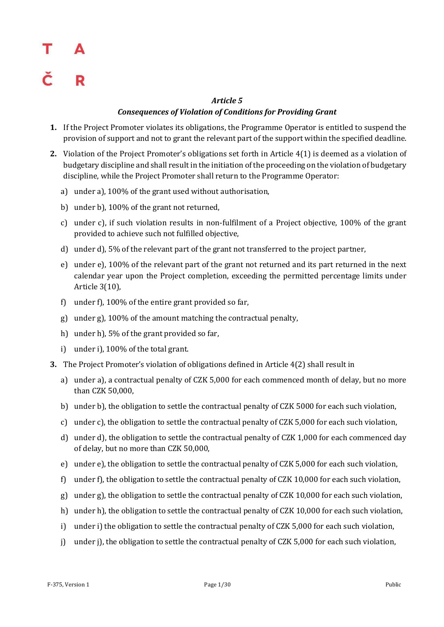## Т Δ R

### *Article 5 Consequences of Violation of Conditions for Providing Grant*

- **1.** If the Project Promoter violates its obligations, the Programme Operator is entitled to suspend the provision of support and not to grant the relevant part of the support within the specified deadline.
- **2.** Violation of the Project Promoter's obligations set forth in Article 4(1) is deemed as a violation of budgetary discipline and shall result in the initiation of the proceeding on the violation of budgetary discipline, while the Project Promoter shall return to the Programme Operator:
	- a) under a), 100% of the grant used without authorisation,
	- b) under b), 100% of the grant not returned,
	- c) under c), if such violation results in non-fulfilment of a Project objective, 100% of the grant provided to achieve such not fulfilled objective,
	- d) under d), 5% of the relevant part of the grant not transferred to the project partner,
	- e) under e), 100% of the relevant part of the grant not returned and its part returned in the next calendar year upon the Project completion, exceeding the permitted percentage limits under Article 3(10),
	- f) under f), 100% of the entire grant provided so far,
	- g) under g), 100% of the amount matching the contractual penalty,
	- h) under h), 5% of the grant provided so far,
	- i) under i), 100% of the total grant.
- **3.** The Project Promoter's violation of obligations defined in Article 4(2) shall result in
	- a) under a), a contractual penalty of CZK 5,000 for each commenced month of delay, but no more than CZK 50,000,
	- b) under b), the obligation to settle the contractual penalty of CZK 5000 for each such violation,
	- c) under c), the obligation to settle the contractual penalty of CZK 5,000 for each such violation,
	- d) under d), the obligation to settle the contractual penalty of CZK 1,000 for each commenced day of delay, but no more than CZK 50,000,
	- e) under e), the obligation to settle the contractual penalty of CZK 5,000 for each such violation,
	- f) under f), the obligation to settle the contractual penalty of CZK 10,000 for each such violation,
	- g) under g), the obligation to settle the contractual penalty of CZK 10,000 for each such violation,
	- h) under h), the obligation to settle the contractual penalty of CZK 10,000 for each such violation,
	- i) under i) the obligation to settle the contractual penalty of CZK 5,000 for each such violation,
	- j) under j), the obligation to settle the contractual penalty of CZK 5,000 for each such violation,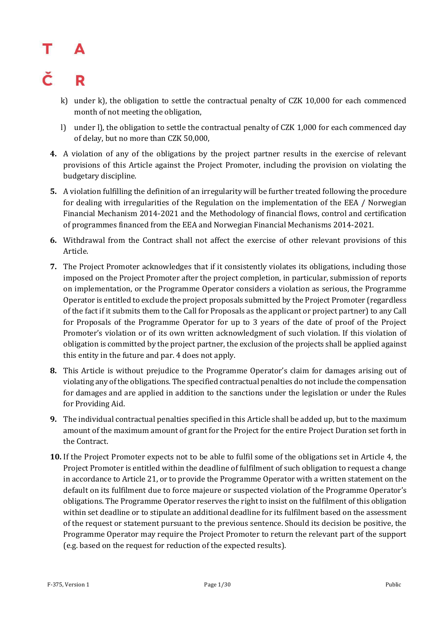### č R

- k) under k), the obligation to settle the contractual penalty of CZK 10,000 for each commenced month of not meeting the obligation,
- l) under l), the obligation to settle the contractual penalty of CZK 1,000 for each commenced day of delay, but no more than CZK 50,000,
- **4.** A violation of any of the obligations by the project partner results in the exercise of relevant provisions of this Article against the Project Promoter, including the provision on violating the budgetary discipline.
- **5.** A violation fulfilling the definition of an irregularity will be further treated following the procedure for dealing with irregularities of the Regulation on the implementation of the EEA / Norwegian Financial Mechanism 2014-2021 and the Methodology of financial flows, control and certification of programmes financed from the EEA and Norwegian Financial Mechanisms 2014-2021.
- **6.** Withdrawal from the Contract shall not affect the exercise of other relevant provisions of this Article.
- **7.** The Project Promoter acknowledges that if it consistently violates its obligations, including those imposed on the Project Promoter after the project completion, in particular, submission of reports on implementation, or the Programme Operator considers a violation as serious, the Programme Operator is entitled to exclude the project proposals submitted by the Project Promoter (regardless of the fact if it submits them to the Call for Proposals as the applicant or project partner) to any Call for Proposals of the Programme Operator for up to 3 years of the date of proof of the Project Promoter's violation or of its own written acknowledgment of such violation. If this violation of obligation is committed by the project partner, the exclusion of the projects shall be applied against this entity in the future and par. 4 does not apply.
- **8.** This Article is without prejudice to the Programme Operator's claim for damages arising out of violating any of the obligations. The specified contractual penalties do not include the compensation for damages and are applied in addition to the sanctions under the legislation or under the Rules for Providing Aid.
- **9.** The individual contractual penalties specified in this Article shall be added up, but to the maximum amount of the maximum amount of grant for the Project for the entire Project Duration set forth in the Contract.
- **10.** If the Project Promoter expects not to be able to fulfil some of the obligations set in Article 4, the Project Promoter is entitled within the deadline of fulfilment of such obligation to request a change in accordance to Article 21, or to provide the Programme Operator with a written statement on the default on its fulfilment due to force majeure or suspected violation of the Programme Operator's obligations. The Programme Operator reserves the right to insist on the fulfilment of this obligation within set deadline or to stipulate an additional deadline for its fulfilment based on the assessment of the request or statement pursuant to the previous sentence. Should its decision be positive, the Programme Operator may require the Project Promoter to return the relevant part of the support (e.g. based on the request for reduction of the expected results).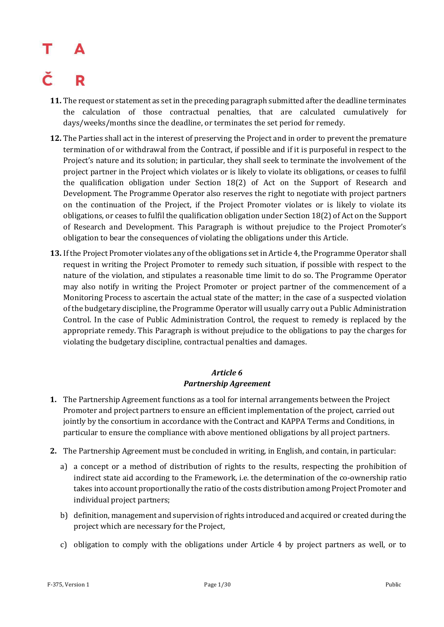- **11.** The request or statement as set in the preceding paragraph submitted after the deadline terminates the calculation of those contractual penalties, that are calculated cumulatively for days/weeks/months since the deadline, or terminates the set period for remedy.
- **12.** The Parties shall act in the interest of preserving the Project and in order to prevent the premature termination of or withdrawal from the Contract, if possible and if it is purposeful in respect to the Project's nature and its solution; in particular, they shall seek to terminate the involvement of the project partner in the Project which violates or is likely to violate its obligations, or ceases to fulfil the qualification obligation under Section 18(2) of Act on the Support of Research and Development. The Programme Operator also reserves the right to negotiate with project partners on the continuation of the Project, if the Project Promoter violates or is likely to violate its obligations, or ceases to fulfil the qualification obligation under Section 18(2) of Act on the Support of Research and Development. This Paragraph is without prejudice to the Project Promoter's obligation to bear the consequences of violating the obligations under this Article.
- **13.** If the Project Promoter violates any of the obligations set in Article 4, the Programme Operator shall request in writing the Project Promoter to remedy such situation, if possible with respect to the nature of the violation, and stipulates a reasonable time limit to do so. The Programme Operator may also notify in writing the Project Promoter or project partner of the commencement of a Monitoring Process to ascertain the actual state of the matter; in the case of a suspected violation of the budgetary discipline, the Programme Operator will usually carry out a Public Administration Control. In the case of Public Administration Control, the request to remedy is replaced by the appropriate remedy. This Paragraph is without prejudice to the obligations to pay the charges for violating the budgetary discipline, contractual penalties and damages.

### *Article 6 Partnership Agreement*

- **1.** The Partnership Agreement functions as a tool for internal arrangements between the Project Promoter and project partners to ensure an efficient implementation of the project, carried out jointly by the consortium in accordance with the Contract and KAPPA Terms and Conditions, in particular to ensure the compliance with above mentioned obligations by all project partners.
- **2.** The Partnership Agreement must be concluded in writing, in English, and contain, in particular:
	- a) a concept or a method of distribution of rights to the results, respecting the prohibition of indirect state aid according to the Framework, i.e. the determination of the co-ownership ratio takes into account proportionally the ratio of the costs distribution among Project Promoter and individual project partners;
	- b) definition, management and supervision of rights introduced and acquired or created during the project which are necessary for the Project,
	- c) obligation to comply with the obligations under Article 4 by project partners as well, or to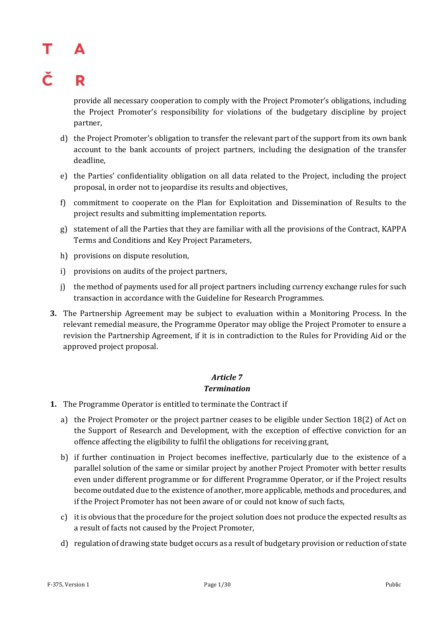## R

provide all necessary cooperation to comply with the Project Promoter's obligations, including the Project Promoter's responsibility for violations of the budgetary discipline by project partner,

- d) the Project Promoter's obligation to transfer the relevant part of the support from its own bank account to the bank accounts of project partners, including the designation of the transfer deadline,
- e) the Parties' confidentiality obligation on all data related to the Project, including the project proposal, in order not to jeopardise its results and objectives,
- f) commitment to cooperate on the Plan for Exploitation and Dissemination of Results to the project results and submitting implementation reports.
- g) statement of all the Parties that they are familiar with all the provisions of the Contract, KAPPA Terms and Conditions and Key Project Parameters,
- h) provisions on dispute resolution,
- i) provisions on audits of the project partners,
- j) the method of payments used for all project partners including currency exchange rules for such transaction in accordance with the Guideline for Research Programmes.
- **3.** The Partnership Agreement may be subject to evaluation within a Monitoring Process. In the relevant remedial measure, the Programme Operator may oblige the Project Promoter to ensure a revision the Partnership Agreement, if it is in contradiction to the Rules for Providing Aid or the approved project proposal.

### *Article 7 Termination*

- **1.** The Programme Operator is entitled to terminate the Contract if
	- a) the Project Promoter or the project partner ceases to be eligible under Section 18(2) of Act on the Support of Research and Development, with the exception of effective conviction for an offence affecting the eligibility to fulfil the obligations for receiving grant,
	- b) if further continuation in Project becomes ineffective, particularly due to the existence of a parallel solution of the same or similar project by another Project Promoter with better results even under different programme or for different Programme Operator, or if the Project results become outdated due to the existence of another, more applicable, methods and procedures, and if the Project Promoter has not been aware of or could not know of such facts,
	- c) it is obvious that the procedure for the project solution does not produce the expected results as a result of facts not caused by the Project Promoter,
	- d) regulation of drawing state budget occurs as a result of budgetary provision or reduction of state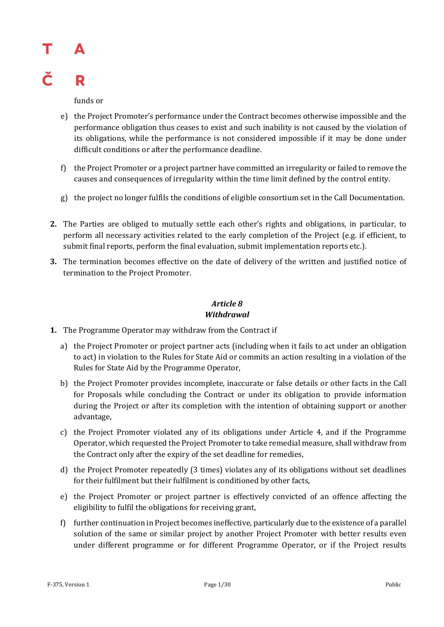## Т R

funds or

- e) the Project Promoter's performance under the Contract becomes otherwise impossible and the performance obligation thus ceases to exist and such inability is not caused by the violation of its obligations, while the performance is not considered impossible if it may be done under difficult conditions or after the performance deadline.
- f) the Project Promoter or a project partner have committed an irregularity or failed to remove the causes and consequences of irregularity within the time limit defined by the control entity.
- g) the project no longer fulfils the conditions of eligible consortium set in the Call Documentation.
- **2.** The Parties are obliged to mutually settle each other's rights and obligations, in particular, to perform all necessary activities related to the early completion of the Project (e.g. if efficient, to submit final reports, perform the final evaluation, submit implementation reports etc.).
- **3.** The termination becomes effective on the date of delivery of the written and justified notice of termination to the Project Promoter.

### *Article 8 Withdrawal*

- **1.** The Programme Operator may withdraw from the Contract if
	- a) the Project Promoter or project partner acts (including when it fails to act under an obligation to act) in violation to the Rules for State Aid or commits an action resulting in a violation of the Rules for State Aid by the Programme Operator,
	- b) the Project Promoter provides incomplete, inaccurate or false details or other facts in the Call for Proposals while concluding the Contract or under its obligation to provide information during the Project or after its completion with the intention of obtaining support or another advantage,
	- c) the Project Promoter violated any of its obligations under Article 4, and if the Programme Operator, which requested the Project Promoter to take remedial measure, shall withdraw from the Contract only after the expiry of the set deadline for remedies,
	- d) the Project Promoter repeatedly (3 times) violates any of its obligations without set deadlines for their fulfilment but their fulfilment is conditioned by other facts,
	- e) the Project Promoter or project partner is effectively convicted of an offence affecting the eligibility to fulfil the obligations for receiving grant,
	- f) further continuation in Project becomes ineffective, particularly due to the existence of a parallel solution of the same or similar project by another Project Promoter with better results even under different programme or for different Programme Operator, or if the Project results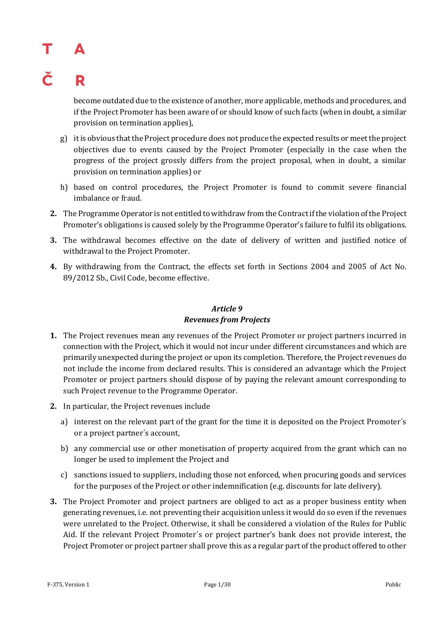## R

become outdated due to the existence of another, more applicable, methods and procedures, and if the Project Promoter has been aware of or should know of such facts (when in doubt, a similar provision on termination applies),

- g) it is obvious that the Project procedure does not produce the expected results or meet the project objectives due to events caused by the Project Promoter (especially in the case when the progress of the project grossly differs from the project proposal, when in doubt, a similar provision on termination applies) or
- h) based on control procedures, the Project Promoter is found to commit severe financial imbalance or fraud.
- **2.** The Programme Operator is not entitled to withdraw from the Contract if the violation of the Project Promoter's obligations is caused solely by the Programme Operator's failure to fulfil its obligations.
- **3.** The withdrawal becomes effective on the date of delivery of written and justified notice of withdrawal to the Project Promoter.
- **4.** By withdrawing from the Contract, the effects set forth in Sections 2004 and 2005 of Act No. 89/2012 Sb., Civil Code, become effective.

### *Article 9 Revenues from Projects*

- **1.** The Project revenues mean any revenues of the Project Promoter or project partners incurred in connection with the Project, which it would not incur under different circumstances and which are primarily unexpected during the project or upon its completion. Therefore, the Project revenues do not include the income from declared results. This is considered an advantage which the Project Promoter or project partners should dispose of by paying the relevant amount corresponding to such Project revenue to the Programme Operator.
- **2.** In particular, the Project revenues include
	- a) interest on the relevant part of the grant for the time it is deposited on the Project Promoter´s or a project partner´s account,
	- b) any commercial use or other monetisation of property acquired from the grant which can no longer be used to implement the Project and
	- c) sanctions issued to suppliers, including those not enforced, when procuring goods and services for the purposes of the Project or other indemnification (e.g. discounts for late delivery).
- **3.** The Project Promoter and project partners are obliged to act as a proper business entity when generating revenues, i.e. not preventing their acquisition unless it would do so even if the revenues were unrelated to the Project. Otherwise, it shall be considered a violation of the Rules for Public Aid. If the relevant Project Promoter´s or project partner's bank does not provide interest, the Project Promoter or project partner shall prove this as a regular part of the product offered to other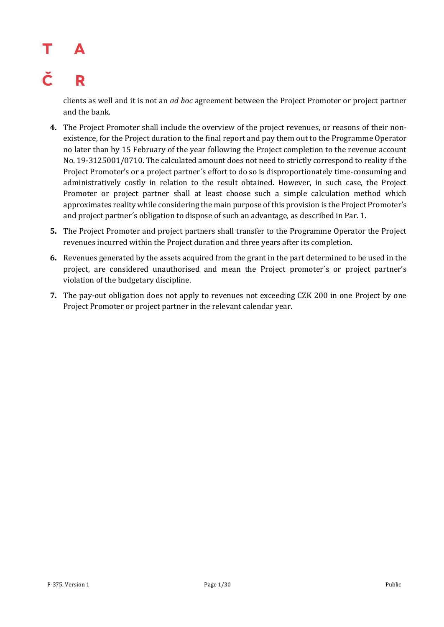### č R

clients as well and it is not an *ad hoc* agreement between the Project Promoter or project partner and the bank.

- **4.** The Project Promoter shall include the overview of the project revenues, or reasons of their nonexistence, for the Project duration to the final report and pay them out to the Programme Operator no later than by 15 February of the year following the Project completion to the revenue account No. 19-3125001/0710. The calculated amount does not need to strictly correspond to reality if the Project Promoter's or a project partner´s effort to do so is disproportionately time-consuming and administratively costly in relation to the result obtained. However, in such case, the Project Promoter or project partner shall at least choose such a simple calculation method which approximates reality while considering the main purpose of this provision is the Project Promoter's and project partner´s obligation to dispose of such an advantage, as described in Par. 1.
- **5.** The Project Promoter and project partners shall transfer to the Programme Operator the Project revenues incurred within the Project duration and three years after its completion.
- **6.** Revenues generated by the assets acquired from the grant in the part determined to be used in the project, are considered unauthorised and mean the Project promoter´s or project partner's violation of the budgetary discipline.
- **7.** The pay-out obligation does not apply to revenues not exceeding CZK 200 in one Project by one Project Promoter or project partner in the relevant calendar year.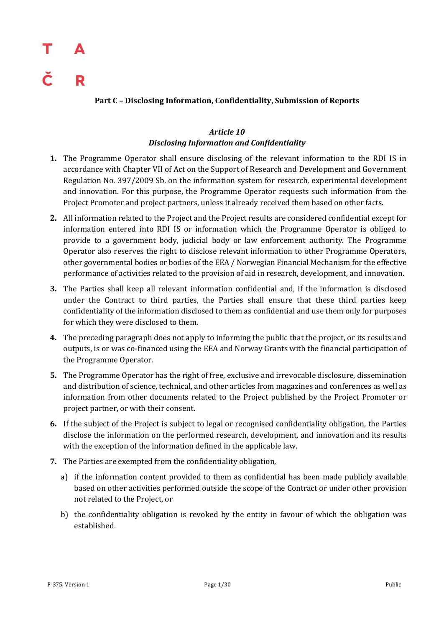## Т R

### **Part C – Disclosing Information, Confidentiality, Submission of Reports**

### *Article 10 Disclosing Information and Confidentiality*

- **1.** The Programme Operator shall ensure disclosing of the relevant information to the RDI IS in accordance with Chapter VII of Act on the Support of Research and Development and Government Regulation No. 397/2009 Sb. on the information system for research, experimental development and innovation. For this purpose, the Programme Operator requests such information from the Project Promoter and project partners, unless it already received them based on other facts.
- **2.** All information related to the Project and the Project results are considered confidential except for information entered into RDI IS or information which the Programme Operator is obliged to provide to a government body, judicial body or law enforcement authority. The Programme Operator also reserves the right to disclose relevant information to other Programme Operators, other governmental bodies or bodies of the EEA / Norwegian Financial Mechanism for the effective performance of activities related to the provision of aid in research, development, and innovation.
- **3.** The Parties shall keep all relevant information confidential and, if the information is disclosed under the Contract to third parties, the Parties shall ensure that these third parties keep confidentiality of the information disclosed to them as confidential and use them only for purposes for which they were disclosed to them.
- **4.** The preceding paragraph does not apply to informing the public that the project, or its results and outputs, is or was co-financed using the EEA and Norway Grants with the financial participation of the Programme Operator.
- **5.** The Programme Operator has the right of free, exclusive and irrevocable disclosure, dissemination and distribution of science, technical, and other articles from magazines and conferences as well as information from other documents related to the Project published by the Project Promoter or project partner, or with their consent.
- **6.** If the subject of the Project is subject to legal or recognised confidentiality obligation, the Parties disclose the information on the performed research, development, and innovation and its results with the exception of the information defined in the applicable law.
- **7.** The Parties are exempted from the confidentiality obligation,
	- a) if the information content provided to them as confidential has been made publicly available based on other activities performed outside the scope of the Contract or under other provision not related to the Project, or
	- b) the confidentiality obligation is revoked by the entity in favour of which the obligation was established.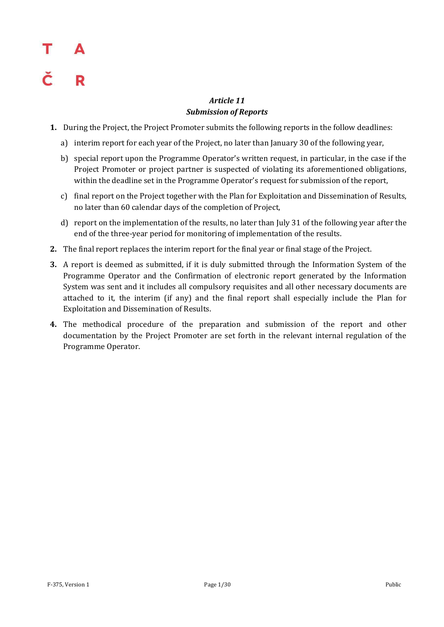### *Article 11 Submission of Reports*

- **1.** During the Project, the Project Promoter submits the following reports in the follow deadlines:
	- a) interim report for each year of the Project, no later than January 30 of the following year,
	- b) special report upon the Programme Operator's written request, in particular, in the case if the Project Promoter or project partner is suspected of violating its aforementioned obligations, within the deadline set in the Programme Operator's request for submission of the report,
	- c) final report on the Project together with the Plan for Exploitation and Dissemination of Results, no later than 60 calendar days of the completion of Project,
	- d) report on the implementation of the results, no later than July 31 of the following year after the end of the three-year period for monitoring of implementation of the results.
- **2.** The final report replaces the interim report for the final year or final stage of the Project.
- **3.** A report is deemed as submitted, if it is duly submitted through the Information System of the Programme Operator and the Confirmation of electronic report generated by the Information System was sent and it includes all compulsory requisites and all other necessary documents are attached to it, the interim (if any) and the final report shall especially include the Plan for Exploitation and Dissemination of Results.
- **4.** The methodical procedure of the preparation and submission of the report and other documentation by the Project Promoter are set forth in the relevant internal regulation of the Programme Operator.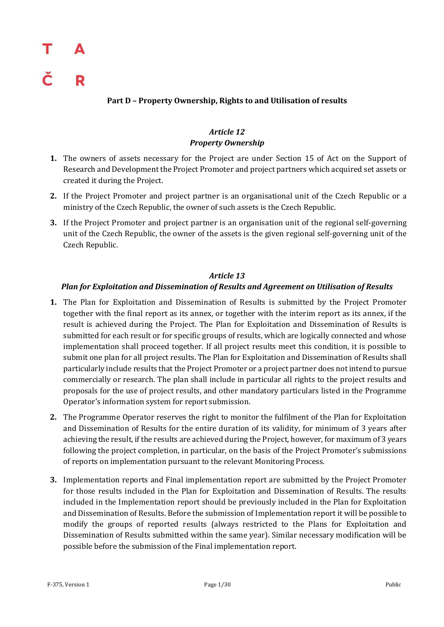### **Part D – Property Ownership, Rights to and Utilisation of results**

### *Article 12 Property Ownership*

- **1.** The owners of assets necessary for the Project are under Section 15 of Act on the Support of Research and Development the Project Promoter and project partners which acquired set assets or created it during the Project.
- **2.** If the Project Promoter and project partner is an organisational unit of the Czech Republic or a ministry of the Czech Republic, the owner of such assets is the Czech Republic.
- **3.** If the Project Promoter and project partner is an organisation unit of the regional self-governing unit of the Czech Republic, the owner of the assets is the given regional self-governing unit of the Czech Republic.

### *Article 13*

### *Plan for Exploitation and Dissemination of Results and Agreement on Utilisation of Results*

- **1.** The Plan for Exploitation and Dissemination of Results is submitted by the Project Promoter together with the final report as its annex, or together with the interim report as its annex, if the result is achieved during the Project. The Plan for Exploitation and Dissemination of Results is submitted for each result or for specific groups of results, which are logically connected and whose implementation shall proceed together. If all project results meet this condition, it is possible to submit one plan for all project results. The Plan for Exploitation and Dissemination of Results shall particularly include results that the Project Promoter or a project partner does not intend to pursue commercially or research. The plan shall include in particular all rights to the project results and proposals for the use of project results, and other mandatory particulars listed in the Programme Operator's information system for report submission.
- **2.** The Programme Operator reserves the right to monitor the fulfilment of the Plan for Exploitation and Dissemination of Results for the entire duration of its validity, for minimum of 3 years after achieving the result, if the results are achieved during the Project, however, for maximum of 3 years following the project completion, in particular, on the basis of the Project Promoter's submissions of reports on implementation pursuant to the relevant Monitoring Process.
- **3.** Implementation reports and Final implementation report are submitted by the Project Promoter for those results included in the Plan for Exploitation and Dissemination of Results. The results included in the Implementation report should be previously included in the Plan for Exploitation and Dissemination of Results. Before the submission of Implementation report it will be possible to modify the groups of reported results (always restricted to the Plans for Exploitation and Dissemination of Results submitted within the same year). Similar necessary modification will be possible before the submission of the Final implementation report.

R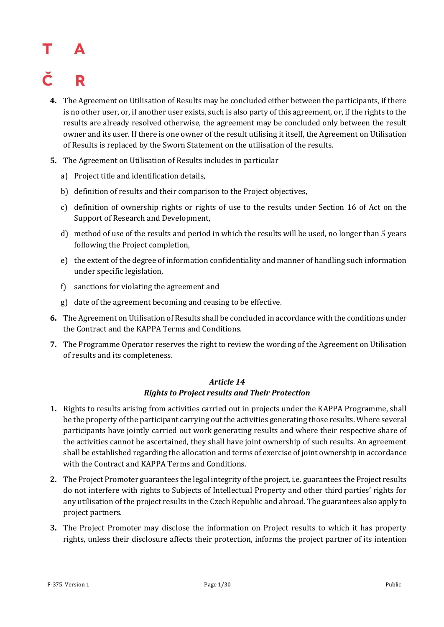## R

- **4.** The Agreement on Utilisation of Results may be concluded either between the participants, if there is no other user, or, if another user exists, such is also party of this agreement, or, if the rights to the results are already resolved otherwise, the agreement may be concluded only between the result owner and its user. If there is one owner of the result utilising it itself, the Agreement on Utilisation of Results is replaced by the Sworn Statement on the utilisation of the results.
- **5.** The Agreement on Utilisation of Results includes in particular
	- a) Project title and identification details,
	- b) definition of results and their comparison to the Project objectives,
	- c) definition of ownership rights or rights of use to the results under Section 16 of Act on the Support of Research and Development,
	- d) method of use of the results and period in which the results will be used, no longer than 5 years following the Project completion,
	- e) the extent of the degree of information confidentiality and manner of handling such information under specific legislation,
	- f) sanctions for violating the agreement and
	- g) date of the agreement becoming and ceasing to be effective.
- **6.** The Agreement on Utilisation of Results shall be concluded in accordance with the conditions under the Contract and the KAPPA Terms and Conditions.
- **7.** The Programme Operator reserves the right to review the wording of the Agreement on Utilisation of results and its completeness.

### *Article 14 Rights to Project results and Their Protection*

- **1.** Rights to results arising from activities carried out in projects under the KAPPA Programme, shall be the property of the participant carrying out the activities generating those results. Where several participants have jointly carried out work generating results and where their respective share of the activities cannot be ascertained, they shall have joint ownership of such results. An agreement shall be established regarding the allocation and terms of exercise of joint ownership in accordance with the Contract and KAPPA Terms and Conditions.
- **2.** The Project Promoter guarantees the legal integrity of the project, i.e. guarantees the Project results do not interfere with rights to Subjects of Intellectual Property and other third parties' rights for any utilisation of the project results in the Czech Republic and abroad. The guarantees also apply to project partners.
- **3.** The Project Promoter may disclose the information on Project results to which it has property rights, unless their disclosure affects their protection, informs the project partner of its intention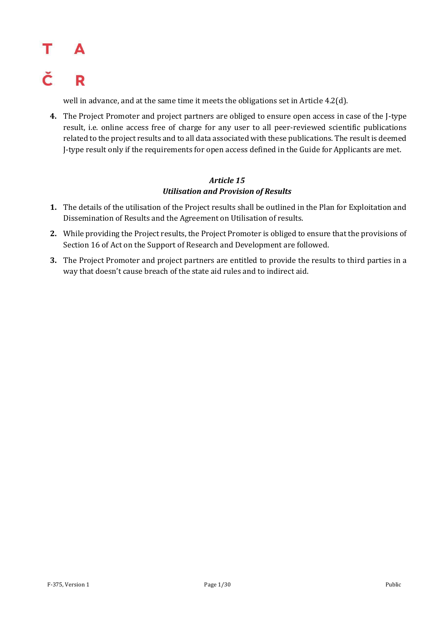### Т Δ Č R

well in advance, and at the same time it meets the obligations set in Article 4.2(d).

**4.** The Project Promoter and project partners are obliged to ensure open access in case of the J-type result, i.e. online access free of charge for any user to all peer-reviewed scientific publications related to the project results and to all data associated with these publications. The result is deemed J-type result only if the requirements for open access defined in the Guide for Applicants are met.

### *Article 15 Utilisation and Provision of Results*

- **1.** The details of the utilisation of the Project results shall be outlined in the Plan for Exploitation and Dissemination of Results and the Agreement on Utilisation of results.
- **2.** While providing the Project results, the Project Promoter is obliged to ensure that the provisions of Section 16 of Act on the Support of Research and Development are followed.
- **3.** The Project Promoter and project partners are entitled to provide the results to third parties in a way that doesn't cause breach of the state aid rules and to indirect aid.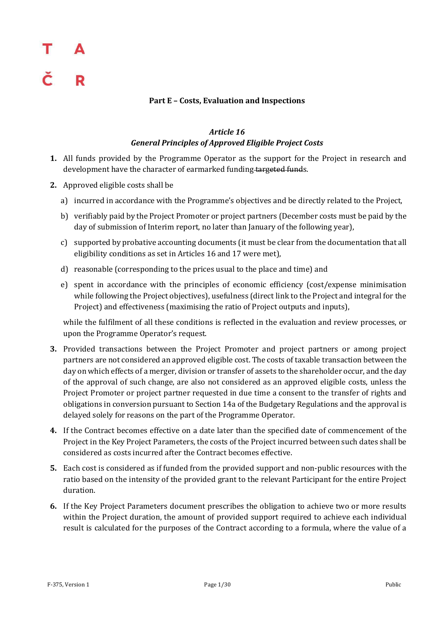### **Part E – Costs, Evaluation and Inspections**

### *Article 16 General Principles of Approved Eligible Project Costs*

- **1.** All funds provided by the Programme Operator as the support for the Project in research and development have the character of earmarked funding targeted funds.
- **2.** Approved eligible costs shall be
	- a) incurred in accordance with the Programme's objectives and be directly related to the Project,
	- b) verifiably paid by the Project Promoter or project partners (December costs must be paid by the day of submission of Interim report, no later than January of the following year),
	- c) supported by probative accounting documents (it must be clear from the documentation that all eligibility conditions as set in Articles 16 and 17 were met),
	- d) reasonable (corresponding to the prices usual to the place and time) and
	- e) spent in accordance with the principles of economic efficiency (cost/expense minimisation while following the Project objectives), usefulness (direct link to the Project and integral for the Project) and effectiveness (maximising the ratio of Project outputs and inputs),

while the fulfilment of all these conditions is reflected in the evaluation and review processes, or upon the Programme Operator's request.

- **3.** Provided transactions between the Project Promoter and project partners or among project partners are not considered an approved eligible cost. The costs of taxable transaction between the day on which effects of a merger, division or transfer of assets to the shareholder occur, and the day of the approval of such change, are also not considered as an approved eligible costs, unless the Project Promoter or project partner requested in due time a consent to the transfer of rights and obligations in conversion pursuant to Section 14a of the Budgetary Regulations and the approval is delayed solely for reasons on the part of the Programme Operator.
- **4.** If the Contract becomes effective on a date later than the specified date of commencement of the Project in the Key Project Parameters, the costs of the Project incurred between such dates shall be considered as costs incurred after the Contract becomes effective.
- **5.** Each cost is considered as if funded from the provided support and non-public resources with the ratio based on the intensity of the provided grant to the relevant Participant for the entire Project duration.
- **6.** If the Key Project Parameters document prescribes the obligation to achieve two or more results within the Project duration, the amount of provided support required to achieve each individual result is calculated for the purposes of the Contract according to a formula, where the value of a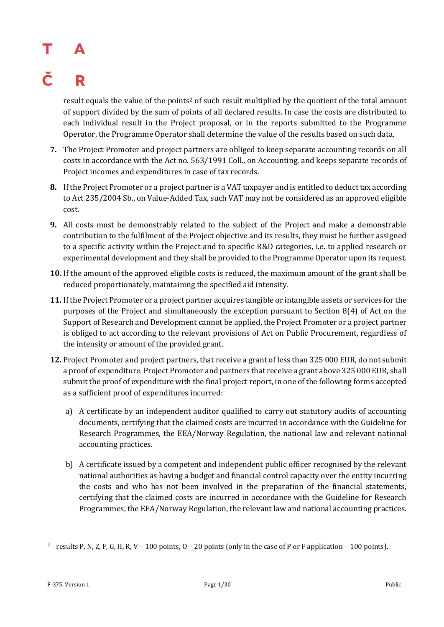## R

result equals the value of the points<sup>2</sup> of such result multiplied by the quotient of the total amount of support divided by the sum of points of all declared results. In case the costs are distributed to each individual result in the Project proposal, or in the reports submitted to the Programme Operator, the Programme Operator shall determine the value of the results based on such data.

- **7.** The Project Promoter and project partners are obliged to keep separate accounting records on all costs in accordance with the Act no. 563/1991 Coll., on Accounting, and keeps separate records of Project incomes and expenditures in case of tax records.
- **8.** If the Project Promoter or a project partner is a VAT taxpayer and is entitled to deduct tax according to Act 235/2004 Sb., on Value-Added Tax, such VAT may not be considered as an approved eligible cost.
- **9.** All costs must be demonstrably related to the subject of the Project and make a demonstrable contribution to the fulfilment of the Project objective and its results, they must be further assigned to a specific activity within the Project and to specific R&D categories, i.e. to applied research or experimental development and they shall be provided to the Programme Operator upon its request.
- **10.** If the amount of the approved eligible costs is reduced, the maximum amount of the grant shall be reduced proportionately, maintaining the specified aid intensity.
- **11.** If the Project Promoter or a project partner acquires tangible or intangible assets or services for the purposes of the Project and simultaneously the exception pursuant to Section 8(4) of Act on the Support of Research and Development cannot be applied, the Project Promoter or a project partner is obliged to act according to the relevant provisions of Act on Public Procurement, regardless of the intensity or amount of the provided grant.
- **12.** Project Promoter and project partners, that receive a grant of less than 325 000 EUR, do not submit a proof of expenditure. Project Promoter and partners that receive a grant above 325 000 EUR, shall submit the proof of expenditure with the final project report, in one of the following forms accepted as a sufficient proof of expenditures incurred:
	- a) A certificate by an independent auditor qualified to carry out statutory audits of accounting documents, certifying that the claimed costs are incurred in accordance with the Guideline for Research Programmes, the EEA/Norway Regulation, the national law and relevant national accounting practices.
	- b) A certificate issued by a competent and independent public officer recognised by the relevant national authorities as having a budget and financial control capacity over the entity incurring the costs and who has not been involved in the preparation of the financial statements, certifying that the claimed costs are incurred in accordance with the Guideline for Research Programmes, the EEA/Norway Regulation, the relevant law and national accounting practices.

—<br>—

<sup>&</sup>lt;sup>2</sup> results P, N, Z, F, G, H, R, V – 100 points, O – 20 points (only in the case of P or F application – 100 points).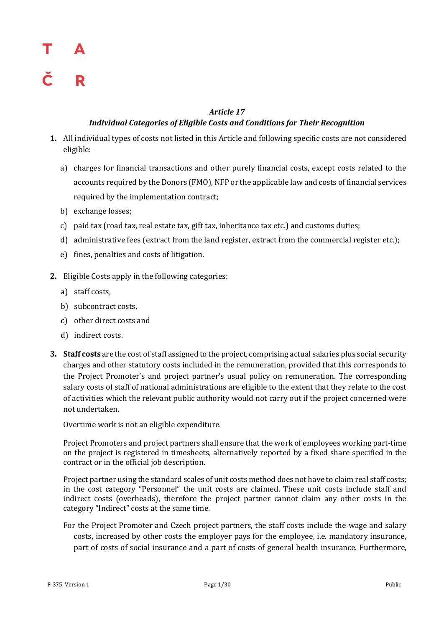### *Article 17*

### *Individual Categories of Eligible Costs and Conditions for Their Recognition*

- **1.** All individual types of costs not listed in this Article and following specific costs are not considered eligible:
	- a) charges for financial transactions and other purely financial costs, except costs related to the accounts required by the Donors (FMO), NFP or the applicable law and costs of financial services required by the implementation contract;
	- b) exchange losses;
	- c) paid tax (road tax, real estate tax, gift tax, inheritance tax etc.) and customs duties;
	- d) administrative fees (extract from the land register, extract from the commercial register etc.);
	- e) fines, penalties and costs of litigation.
- **2.** Eligible Costs apply in the following categories:
	- a) staff costs,
	- b) subcontract costs,
	- c) other direct costs and
	- d) indirect costs.
- **3. Staff costs** are the cost of staff assigned to the project, comprising actual salaries plus social security charges and other statutory costs included in the remuneration, provided that this corresponds to the Project Promoter's and project partner's usual policy on remuneration. The corresponding salary costs of staff of national administrations are eligible to the extent that they relate to the cost of activities which the relevant public authority would not carry out if the project concerned were not undertaken.

Overtime work is not an eligible expenditure.

Project Promoters and project partners shall ensure that the work of employees working part-time on the project is registered in timesheets, alternatively reported by a fixed share specified in the contract or in the official job description.

Project partner using the standard scales of unit costs method does not have to claim real staff costs; in the cost category "Personnel" the unit costs are claimed. These unit costs include staff and indirect costs (overheads), therefore the project partner cannot claim any other costs in the category "Indirect" costs at the same time.

For the Project Promoter and Czech project partners, the staff costs include the wage and salary costs, increased by other costs the employer pays for the employee, i.e. mandatory insurance, part of costs of social insurance and a part of costs of general health insurance. Furthermore,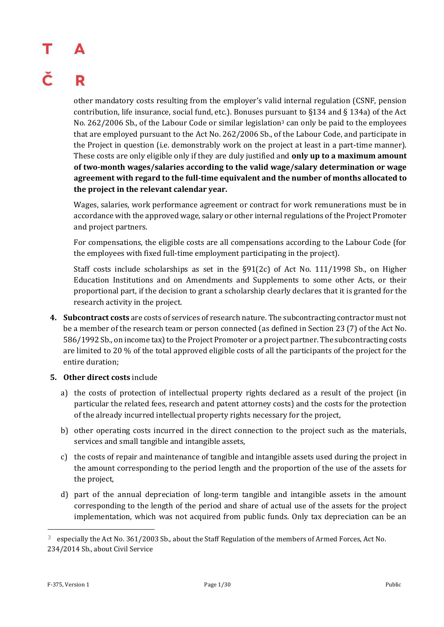# R

other mandatory costs resulting from the employer's valid internal regulation (CSNF, pension contribution, life insurance, social fund, etc.). Bonuses pursuant to §134 and § 134a) of the Act No. 262/2006 Sb., of the Labour Code or similar legislation<sup>3</sup> can only be paid to the employees that are employed pursuant to the Act No. 262/2006 Sb., of the Labour Code, and participate in the Project in question (i.e. demonstrably work on the project at least in a part-time manner). These costs are only eligible only if they are duly justified and **only up to a maximum amount of two-month wages/salaries according to the valid wage/salary determination or wage agreement with regard to the full-time equivalent and the number of months allocated to the project in the relevant calendar year.**

Wages, salaries, work performance agreement or contract for work remunerations must be in accordance with the approved wage, salary or other internal regulations of the Project Promoter and project partners.

For compensations, the eligible costs are all compensations according to the Labour Code (for the employees with fixed full-time employment participating in the project).

Staff costs include scholarships as set in the §91(2c) of Act No. 111/1998 Sb., on Higher Education Institutions and on Amendments and Supplements to some other Acts, or their proportional part, if the decision to grant a scholarship clearly declares that it is granted for the research activity in the project.

- **4. Subcontract costs** are costs of services of research nature. The subcontracting contractor must not be a member of the research team or person connected (as defined in Section 23 (7) of the Act No. 586/1992 Sb., on income tax) to the Project Promoter or a project partner. The subcontracting costs are limited to 20 % of the total approved eligible costs of all the participants of the project for the entire duration;
- **5. Other direct costs** include
	- a) the costs of protection of intellectual property rights declared as a result of the project (in particular the related fees, research and patent attorney costs) and the costs for the protection of the already incurred intellectual property rights necessary for the project,
	- b) other operating costs incurred in the direct connection to the project such as the materials, services and small tangible and intangible assets,
	- c) the costs of repair and maintenance of tangible and intangible assets used during the project in the amount corresponding to the period length and the proportion of the use of the assets for the project,
	- d) part of the annual depreciation of long-term tangible and intangible assets in the amount corresponding to the length of the period and share of actual use of the assets for the project implementation, which was not acquired from public funds. Only tax depreciation can be an

—<br>—

 $3$  especially the Act No. 361/2003 Sb., about the Staff Regulation of the members of Armed Forces, Act No. 234/2014 Sb., about Civil Service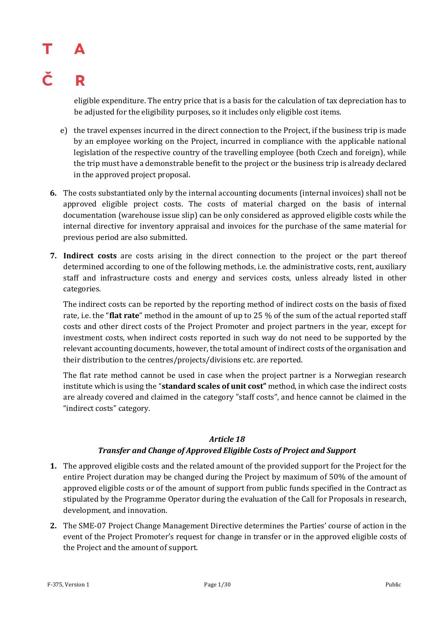## R

eligible expenditure. The entry price that is a basis for the calculation of tax depreciation has to be adjusted for the eligibility purposes, so it includes only eligible cost items.

- e) the travel expenses incurred in the direct connection to the Project, if the business trip is made by an employee working on the Project, incurred in compliance with the applicable national legislation of the respective country of the travelling employee (both Czech and foreign), while the trip must have a demonstrable benefit to the project or the business trip is already declared in the approved project proposal.
- **6.** The costs substantiated only by the internal accounting documents (internal invoices) shall not be approved eligible project costs. The costs of material charged on the basis of internal documentation (warehouse issue slip) can be only considered as approved eligible costs while the internal directive for inventory appraisal and invoices for the purchase of the same material for previous period are also submitted.
- **7. Indirect costs** are costs arising in the direct connection to the project or the part thereof determined according to one of the following methods, i.e. the administrative costs, rent, auxiliary staff and infrastructure costs and energy and services costs, unless already listed in other categories.

The indirect costs can be reported by the reporting method of indirect costs on the basis of fixed rate, i.e. the "**flat rate**" method in the amount of up to 25 % of the sum of the actual reported staff costs and other direct costs of the Project Promoter and project partners in the year, except for investment costs, when indirect costs reported in such way do not need to be supported by the relevant accounting documents, however, the total amount of indirect costs of the organisation and their distribution to the centres/projects/divisions etc. are reported.

The flat rate method cannot be used in case when the project partner is a Norwegian research institute which is using the "**standard scales of unit cost"** method, in which case the indirect costs are already covered and claimed in the category "staff costs", and hence cannot be claimed in the "indirect costs" category.

### *Article 18*

### *Transfer and Change of Approved Eligible Costs of Project and Support*

- **1.** The approved eligible costs and the related amount of the provided support for the Project for the entire Project duration may be changed during the Project by maximum of 50% of the amount of approved eligible costs or of the amount of support from public funds specified in the Contract as stipulated by the Programme Operator during the evaluation of the Call for Proposals in research, development, and innovation.
- **2.** The SME-07 Project Change Management Directive determines the Parties' course of action in the event of the Project Promoter's request for change in transfer or in the approved eligible costs of the Project and the amount of support.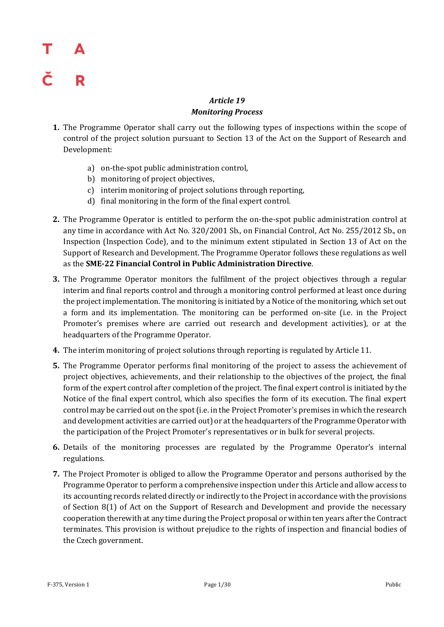### *Article 19 Monitoring Process*

- **1.** The Programme Operator shall carry out the following types of inspections within the scope of control of the project solution pursuant to Section 13 of the Act on the Support of Research and Development:
	- a) on-the-spot public administration control,
	- b) monitoring of project objectives,
	- c) interim monitoring of project solutions through reporting,
	- d) final monitoring in the form of the final expert control.
- **2.** The Programme Operator is entitled to perform the on-the-spot public administration control at any time in accordance with Act No. 320/2001 Sb., on Financial Control, Act No. 255/2012 Sb., on Inspection (Inspection Code), and to the minimum extent stipulated in Section 13 of Act on the Support of Research and Development. The Programme Operator follows these regulations as well as the **SME-22 Financial Control in Public Administration Directive**.
- **3.** The Programme Operator monitors the fulfilment of the project objectives through a regular interim and final reports control and through a monitoring control performed at least once during the project implementation. The monitoring is initiated by a Notice of the monitoring, which set out a form and its implementation. The monitoring can be performed on-site (i.e. in the Project Promoter's premises where are carried out research and development activities), or at the headquarters of the Programme Operator.
- **4.** The interim monitoring of project solutions through reporting is regulated by Article 11.
- **5.** The Programme Operator performs final monitoring of the project to assess the achievement of project objectives, achievements, and their relationship to the objectives of the project, the final form of the expert control after completion of the project. The final expert control is initiated by the Notice of the final expert control, which also specifies the form of its execution. The final expert control may be carried out on the spot (i.e. in the Project Promoter's premises in which the research and development activities are carried out) or at the headquarters of the Programme Operator with the participation of the Project Promoter's representatives or in bulk for several projects.
- **6.** Details of the monitoring processes are regulated by the Programme Operator's internal regulations.
- **7.** The Project Promoter is obliged to allow the Programme Operator and persons authorised by the Programme Operator to perform a comprehensive inspection under this Article and allow access to its accounting records related directly or indirectly to the Project in accordance with the provisions of Section 8(1) of Act on the Support of Research and Development and provide the necessary cooperation therewith at any time during the Project proposal or within ten years after the Contract terminates. This provision is without prejudice to the rights of inspection and financial bodies of the Czech government.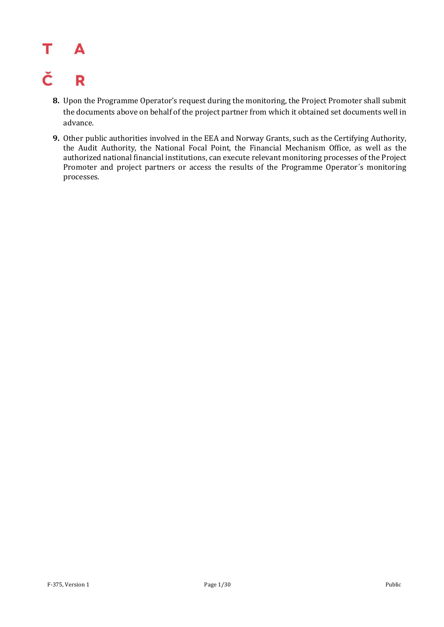### T A

### Č R

- **8.** Upon the Programme Operator's request during the monitoring, the Project Promoter shall submit the documents above on behalf of the project partner from which it obtained set documents well in advance.
- **9.** Other public authorities involved in the EEA and Norway Grants, such as the Certifying Authority, the Audit Authority, the National Focal Point, the Financial Mechanism Office, as well as the authorized national financial institutions, can execute relevant monitoring processes of the Project Promoter and project partners or access the results of the Programme Operator´s monitoring processes.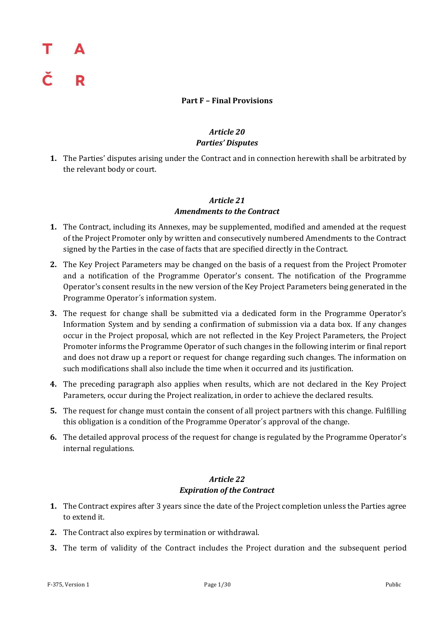### **Part F – Final Provisions**

### *Article 20 Parties' Disputes*

**1.** The Parties' disputes arising under the Contract and in connection herewith shall be arbitrated by the relevant body or court.

### *Article 21 Amendments to the Contract*

- **1.** The Contract, including its Annexes, may be supplemented, modified and amended at the request of the Project Promoter only by written and consecutively numbered Amendments to the Contract signed by the Parties in the case of facts that are specified directly in the Contract.
- **2.** The Key Project Parameters may be changed on the basis of a request from the Project Promoter and a notification of the Programme Operator's consent. The notification of the Programme Operator's consent results in the new version of the Key Project Parameters being generated in the Programme Operator´s information system.
- **3.** The request for change shall be submitted via a dedicated form in the Programme Operator's Information System and by sending a confirmation of submission via a data box. If any changes occur in the Project proposal, which are not reflected in the Key Project Parameters, the Project Promoter informs the Programme Operator of such changes in the following interim or final report and does not draw up a report or request for change regarding such changes. The information on such modifications shall also include the time when it occurred and its justification.
- **4.** The preceding paragraph also applies when results, which are not declared in the Key Project Parameters, occur during the Project realization, in order to achieve the declared results.
- **5.** The request for change must contain the consent of all project partners with this change. Fulfilling this obligation is a condition of the Programme Operator´s approval of the change.
- **6.** The detailed approval process of the request for change is regulated by the Programme Operator's internal regulations.

### *Article 22 Expiration of the Contract*

- **1.** The Contract expires after 3 years since the date of the Project completion unless the Parties agree to extend it.
- **2.** The Contract also expires by termination or withdrawal.
- **3.** The term of validity of the Contract includes the Project duration and the subsequent period